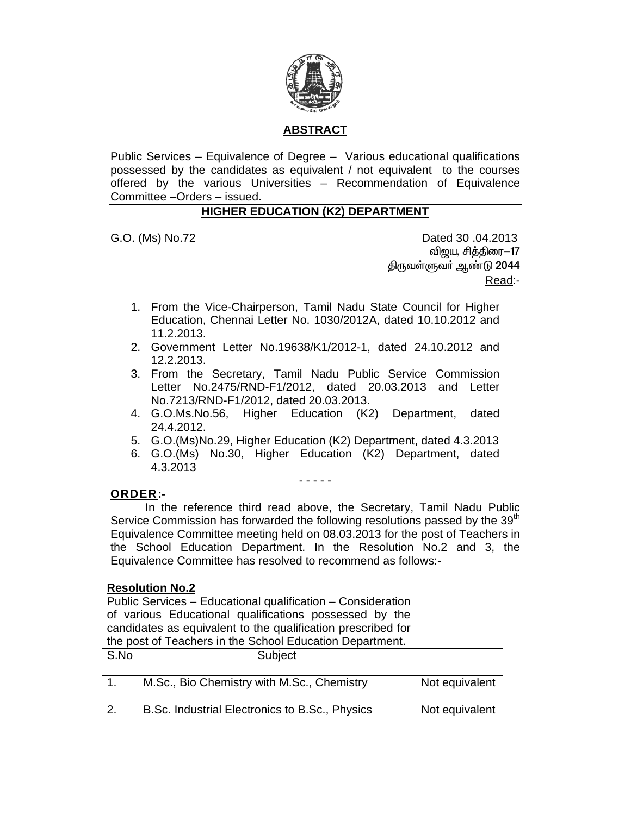

# **ABSTRACT**

Public Services – Equivalence of Degree – Various educational qualifications possessed by the candidates as equivalent / not equivalent to the courses offered by the various Universities – Recommendation of Equivalence Committee –Orders – issued.

## **HIGHER EDUCATION (K2) DEPARTMENT**

G.O. (Ms) No.72 Dated 30 .04.2013 விஜய, சித்திரை–17 திருவள்ளுவர் ஆண்டு 2044 Read:-

- 1. From the Vice-Chairperson, Tamil Nadu State Council for Higher Education, Chennai Letter No. 1030/2012A, dated 10.10.2012 and 11.2.2013.
- 2. Government Letter No.19638/K1/2012-1, dated 24.10.2012 and 12.2.2013.
- 3. From the Secretary, Tamil Nadu Public Service Commission Letter No.2475/RND-F1/2012, dated 20.03.2013 and Letter No.7213/RND-F1/2012, dated 20.03.2013.
- 4. G.O.Ms.No.56, Higher Education (K2) Department, dated 24.4.2012.
- 5. G.O.(Ms)No.29, Higher Education (K2) Department, dated 4.3.2013
- 6. G.O.(Ms) No.30, Higher Education (K2) Department, dated 4.3.2013

- - - - -

## **ORDER:-**

 In the reference third read above, the Secretary, Tamil Nadu Public Service Commission has forwarded the following resolutions passed by the 39<sup>th</sup> Equivalence Committee meeting held on 08.03.2013 for the post of Teachers in the School Education Department. In the Resolution No.2 and 3, the Equivalence Committee has resolved to recommend as follows:-

|                                                          | <b>Resolution No.2</b>                                       |                |
|----------------------------------------------------------|--------------------------------------------------------------|----------------|
|                                                          | Public Services – Educational qualification – Consideration  |                |
|                                                          | of various Educational qualifications possessed by the       |                |
|                                                          | candidates as equivalent to the qualification prescribed for |                |
| the post of Teachers in the School Education Department. |                                                              |                |
| S.No                                                     | Subject                                                      |                |
|                                                          |                                                              |                |
| 1.                                                       | M.Sc., Bio Chemistry with M.Sc., Chemistry                   | Not equivalent |
|                                                          |                                                              |                |
| 2.                                                       | B.Sc. Industrial Electronics to B.Sc., Physics               | Not equivalent |
|                                                          |                                                              |                |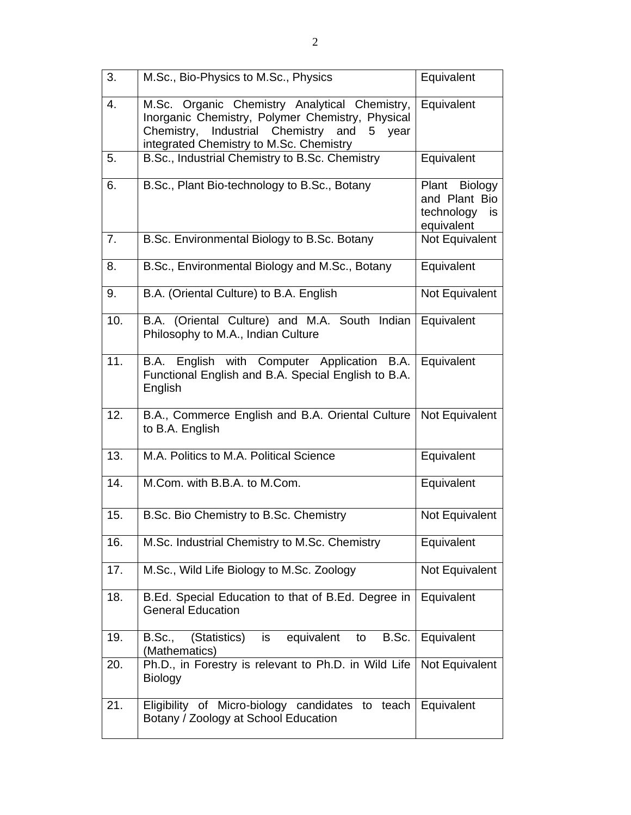| 3.  | M.Sc., Bio-Physics to M.Sc., Physics                                                                                                                                                                | Equivalent                                                       |
|-----|-----------------------------------------------------------------------------------------------------------------------------------------------------------------------------------------------------|------------------------------------------------------------------|
| 4.  | M.Sc. Organic Chemistry Analytical Chemistry,<br>Inorganic Chemistry, Polymer Chemistry, Physical<br>Industrial Chemistry<br>and<br>Chemistry,<br>5 year<br>integrated Chemistry to M.Sc. Chemistry | Equivalent                                                       |
| 5.  | B.Sc., Industrial Chemistry to B.Sc. Chemistry                                                                                                                                                      | Equivalent                                                       |
| 6.  | B.Sc., Plant Bio-technology to B.Sc., Botany                                                                                                                                                        | Plant Biology<br>and Plant Bio<br>technology<br>is<br>equivalent |
| 7.  | B.Sc. Environmental Biology to B.Sc. Botany                                                                                                                                                         | Not Equivalent                                                   |
| 8.  | B.Sc., Environmental Biology and M.Sc., Botany                                                                                                                                                      | Equivalent                                                       |
| 9.  | B.A. (Oriental Culture) to B.A. English                                                                                                                                                             | Not Equivalent                                                   |
| 10. | B.A. (Oriental Culture) and M.A. South Indian<br>Philosophy to M.A., Indian Culture                                                                                                                 | Equivalent                                                       |
| 11. | B.A. English with Computer Application B.A.<br>Functional English and B.A. Special English to B.A.<br>English                                                                                       | Equivalent                                                       |
| 12. | B.A., Commerce English and B.A. Oriental Culture<br>to B.A. English                                                                                                                                 | Not Equivalent                                                   |
| 13. | M.A. Politics to M.A. Political Science                                                                                                                                                             | Equivalent                                                       |
| 14. | M.Com. with B.B.A. to M.Com.                                                                                                                                                                        | Equivalent                                                       |
| 15. | B.Sc. Bio Chemistry to B.Sc. Chemistry                                                                                                                                                              | Not Equivalent                                                   |
| 16. | M.Sc. Industrial Chemistry to M.Sc. Chemistry                                                                                                                                                       | Equivalent                                                       |
| 17. | M.Sc., Wild Life Biology to M.Sc. Zoology                                                                                                                                                           | Not Equivalent                                                   |
| 18. | B.Ed. Special Education to that of B.Ed. Degree in<br><b>General Education</b>                                                                                                                      | Equivalent                                                       |
| 19. | B.Sc.<br>equivalent<br>B.Sc.,<br>(Statistics)<br>is<br>to<br>(Mathematics)                                                                                                                          | Equivalent                                                       |
| 20. | Ph.D., in Forestry is relevant to Ph.D. in Wild Life<br>Biology                                                                                                                                     | Not Equivalent                                                   |
| 21. | Eligibility of Micro-biology candidates to teach<br>Botany / Zoology at School Education                                                                                                            | Equivalent                                                       |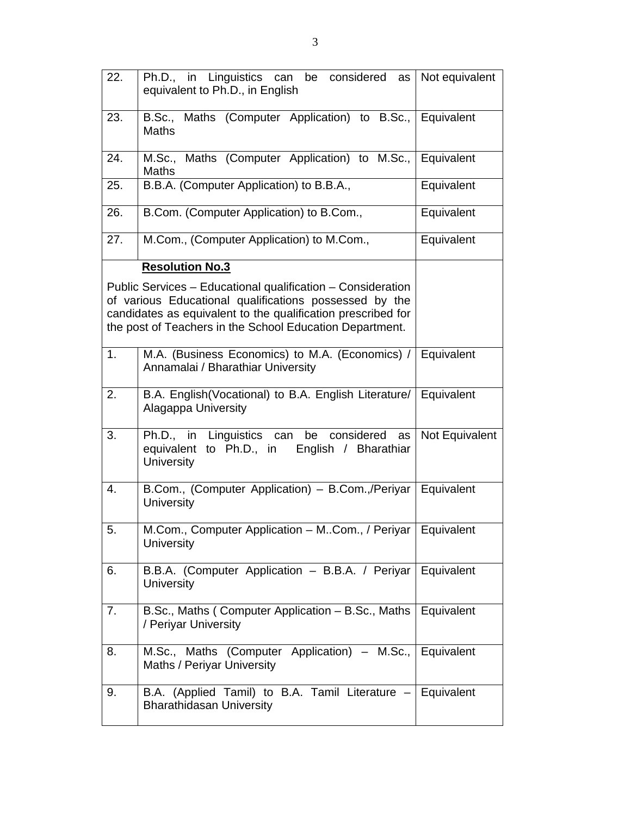| 22. | Ph.D., in Linguistics can be considered as<br>equivalent to Ph.D., in English                                         | Not equivalent |
|-----|-----------------------------------------------------------------------------------------------------------------------|----------------|
| 23. | B.Sc., Maths (Computer Application) to B.Sc.,<br><b>Maths</b>                                                         | Equivalent     |
| 24. | M.Sc., Maths (Computer Application) to M.Sc.,<br><b>Maths</b>                                                         | Equivalent     |
| 25. | B.B.A. (Computer Application) to B.B.A.,                                                                              | Equivalent     |
| 26. | B.Com. (Computer Application) to B.Com.,                                                                              | Equivalent     |
| 27. | M.Com., (Computer Application) to M.Com.,                                                                             | Equivalent     |
|     | <b>Resolution No.3</b>                                                                                                |                |
|     | Public Services - Educational qualification - Consideration<br>of various Educational qualifications possessed by the |                |
|     | candidates as equivalent to the qualification prescribed for                                                          |                |
|     | the post of Teachers in the School Education Department.                                                              |                |
| 1.  | M.A. (Business Economics) to M.A. (Economics) / Equivalent<br>Annamalai / Bharathiar University                       |                |
| 2.  | B.A. English (Vocational) to B.A. English Literature/   Equivalent<br>Alagappa University                             |                |
| 3.  | Ph.D., in Linguistics can be considered<br>as<br>equivalent to Ph.D., in English / Bharathiar<br><b>University</b>    | Not Equivalent |
| 4.  | B.Com., (Computer Application) - B.Com.,/Periyar   Equivalent<br><b>University</b>                                    |                |
| 5.  | M.Com., Computer Application - MCom., / Periyar   Equivalent<br><b>University</b>                                     |                |
| 6.  | B.B.A. (Computer Application - B.B.A. / Periyar  <br><b>University</b>                                                | Equivalent     |
| 7.  | B.Sc., Maths (Computer Application – B.Sc., Maths<br>/ Periyar University                                             | Equivalent     |
| 8.  | M.Sc., Maths (Computer Application) – M.Sc.,<br>Maths / Periyar University                                            | Equivalent     |
| 9.  | B.A. (Applied Tamil) to B.A. Tamil Literature -<br><b>Bharathidasan University</b>                                    | Equivalent     |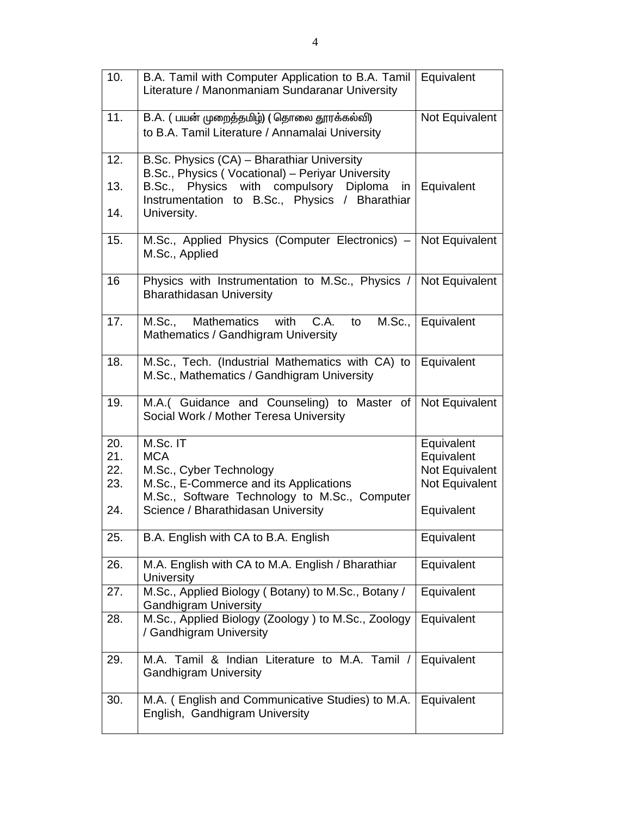| 10. | B.A. Tamil with Computer Application to B.A. Tamil<br>Literature / Manonmaniam Sundaranar University | Equivalent     |
|-----|------------------------------------------------------------------------------------------------------|----------------|
| 11. | B.A. (பயன் முறைத்தமிழ்) (தொலை தூரக்கல்வி)<br>to B.A. Tamil Literature / Annamalai University         | Not Equivalent |
| 12. | B.Sc. Physics (CA) - Bharathiar University<br>B.Sc., Physics (Vocational) - Periyar University       |                |
| 13. | Physics with compulsory Diploma<br>B.Sc.,<br>in<br>Instrumentation to B.Sc., Physics / Bharathiar    | Equivalent     |
| 14. | University.                                                                                          |                |
| 15. | M.Sc., Applied Physics (Computer Electronics) -<br>M.Sc., Applied                                    | Not Equivalent |
| 16  | Physics with Instrumentation to M.Sc., Physics / Not Equivalent<br><b>Bharathidasan University</b>   |                |
| 17. | M.Sc., Mathematics with C.A.<br>M.Sc.,<br>to<br>Mathematics / Gandhigram University                  | Equivalent     |
| 18. | M.Sc., Tech. (Industrial Mathematics with CA) to<br>M.Sc., Mathematics / Gandhigram University       | Equivalent     |
| 19. | M.A. (Guidance and Counseling) to Master of<br>Social Work / Mother Teresa University                | Not Equivalent |
| 20. | M.Sc. IT                                                                                             | Equivalent     |
| 21. | <b>MCA</b>                                                                                           | Equivalent     |
| 22. | M.Sc., Cyber Technology                                                                              | Not Equivalent |
| 23. | M.Sc., E-Commerce and its Applications<br>M.Sc., Software Technology to M.Sc., Computer              | Not Equivalent |
| 24. | Science / Bharathidasan University                                                                   | Equivalent     |
| 25. | B.A. English with CA to B.A. English                                                                 | Equivalent     |
| 26. | M.A. English with CA to M.A. English / Bharathiar<br><b>University</b>                               | Equivalent     |
| 27. | M.Sc., Applied Biology (Botany) to M.Sc., Botany /<br><b>Gandhigram University</b>                   | Equivalent     |
| 28. | M.Sc., Applied Biology (Zoology) to M.Sc., Zoology<br>/ Gandhigram University                        | Equivalent     |
| 29. | M.A. Tamil & Indian Literature to M.A. Tamil /<br><b>Gandhigram University</b>                       | Equivalent     |
| 30. | M.A. (English and Communicative Studies) to M.A.<br>English, Gandhigram University                   | Equivalent     |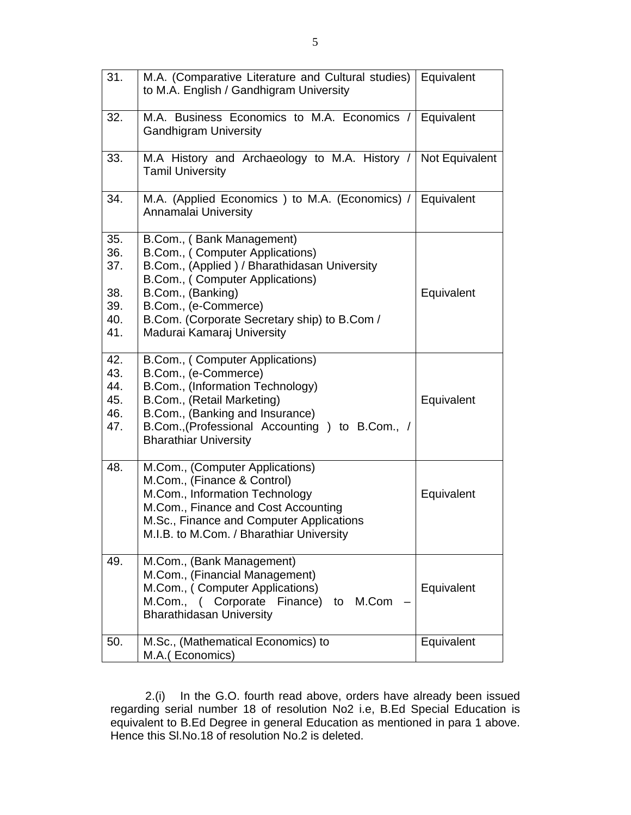| 31.        | M.A. (Comparative Literature and Cultural studies)   Equivalent<br>to M.A. English / Gandhigram University |            |
|------------|------------------------------------------------------------------------------------------------------------|------------|
| 32.        | M.A. Business Economics to M.A. Economics /<br><b>Gandhigram University</b>                                | Equivalent |
| 33.        | M.A History and Archaeology to M.A. History / Not Equivalent<br><b>Tamil University</b>                    |            |
| 34.        | M.A. (Applied Economics) to M.A. (Economics) /<br>Annamalai University                                     | Equivalent |
| 35.<br>36. | B.Com., (Bank Management)<br>B.Com., (Computer Applications)                                               |            |
| 37.        | B.Com., (Applied) / Bharathidasan University<br>B.Com., (Computer Applications)                            |            |
| 38.<br>39. | B.Com., (Banking)<br>B.Com., (e-Commerce)                                                                  | Equivalent |
| 40.        | B.Com. (Corporate Secretary ship) to B.Com /                                                               |            |
| 41.        | Madurai Kamaraj University                                                                                 |            |
| 42.        | B.Com., (Computer Applications)                                                                            |            |
| 43.<br>44. | B.Com., (e-Commerce)<br>B.Com., (Information Technology)                                                   |            |
| 45.        | B.Com., (Retail Marketing)                                                                                 | Equivalent |
| 46.        | B.Com., (Banking and Insurance)                                                                            |            |
| 47.        | B.Com., (Professional Accounting ) to B.Com., /<br><b>Bharathiar University</b>                            |            |
| 48.        | M.Com., (Computer Applications)                                                                            |            |
|            | M.Com., (Finance & Control)<br>M.Com., Information Technology                                              | Equivalent |
|            | M.Com., Finance and Cost Accounting                                                                        |            |
|            | M.Sc., Finance and Computer Applications                                                                   |            |
|            | M.I.B. to M.Com. / Bharathiar University                                                                   |            |
| 49.        | M.Com., (Bank Management)                                                                                  |            |
|            | M.Com., (Financial Management)<br>M.Com., (Computer Applications)                                          | Equivalent |
|            | M.Com., ( Corporate Finance)<br>to M.Com<br><b>Bharathidasan University</b>                                |            |
| 50.        | M.Sc., (Mathematical Economics) to                                                                         | Equivalent |
|            | M.A. (Economics)                                                                                           |            |

2.(i) In the G.O. fourth read above, orders have already been issued regarding serial number 18 of resolution No2 i.e, B.Ed Special Education is equivalent to B.Ed Degree in general Education as mentioned in para 1 above. Hence this Sl.No.18 of resolution No.2 is deleted.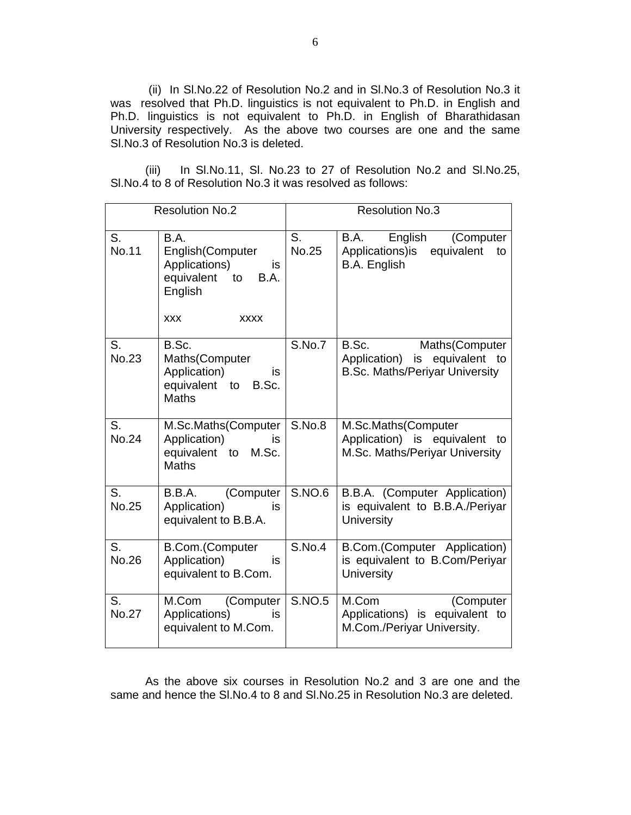(ii) In Sl.No.22 of Resolution No.2 and in Sl.No.3 of Resolution No.3 it was resolved that Ph.D. linguistics is not equivalent to Ph.D. in English and Ph.D. linguistics is not equivalent to Ph.D. in English of Bharathidasan University respectively. As the above two courses are one and the same Sl.No.3 of Resolution No.3 is deleted.

(iii) In Sl.No.11, Sl. No.23 to 27 of Resolution No.2 and Sl.No.25, Sl.No.4 to 8 of Resolution No.3 it was resolved as follows:

| <b>Resolution No.2</b> |                                                                                                                                                  | <b>Resolution No.3</b> |                                                                                                   |
|------------------------|--------------------------------------------------------------------------------------------------------------------------------------------------|------------------------|---------------------------------------------------------------------------------------------------|
| S.<br><b>No.11</b>     | B.A.<br>English(Computer<br>Applications)<br>is<br>equivalent<br>$\overline{\mathsf{to}}$<br><b>B.A.</b><br>English<br><b>XXX</b><br><b>XXXX</b> | S.<br><b>No.25</b>     | English<br>B.A.<br>(Computer<br>Applications) is<br>equivalent<br>to<br>B.A. English              |
| S.<br>No.23            | B.Sc.<br>Maths(Computer<br>Application)<br>is<br>equivalent to<br>B.Sc.<br><b>Maths</b>                                                          | S.No.7                 | B.Sc.<br>Maths(Computer<br>Application) is equivalent to<br><b>B.Sc. Maths/Periyar University</b> |
| S.<br>No.24            | M.Sc.Maths(Computer<br>Application)<br>is.<br>equivalent to<br>M.Sc.<br><b>Maths</b>                                                             | S.No.8                 | M.Sc.Maths(Computer<br>Application) is equivalent to<br>M.Sc. Maths/Periyar University            |
| S.<br><b>No.25</b>     | (Computer<br>B.B.A.<br>Application)<br>is.<br>equivalent to B.B.A.                                                                               | <b>S.NO.6</b>          | B.B.A. (Computer Application)<br>is equivalent to B.B.A./Periyar<br><b>University</b>             |
| S.<br>No.26            | <b>B.Com.</b> (Computer<br>Application)<br>is<br>equivalent to B.Com.                                                                            | <b>S.No.4</b>          | B.Com.(Computer Application)<br>is equivalent to B.Com/Periyar<br>University                      |
| S.<br><b>No.27</b>     | (Computer<br>M.Com<br>Applications)<br>is<br>equivalent to M.Com.                                                                                | <b>S.NO.5</b>          | M.Com<br>(Computer<br>Applications) is equivalent to<br>M.Com./Periyar University.                |

As the above six courses in Resolution No.2 and 3 are one and the same and hence the Sl.No.4 to 8 and Sl.No.25 in Resolution No.3 are deleted.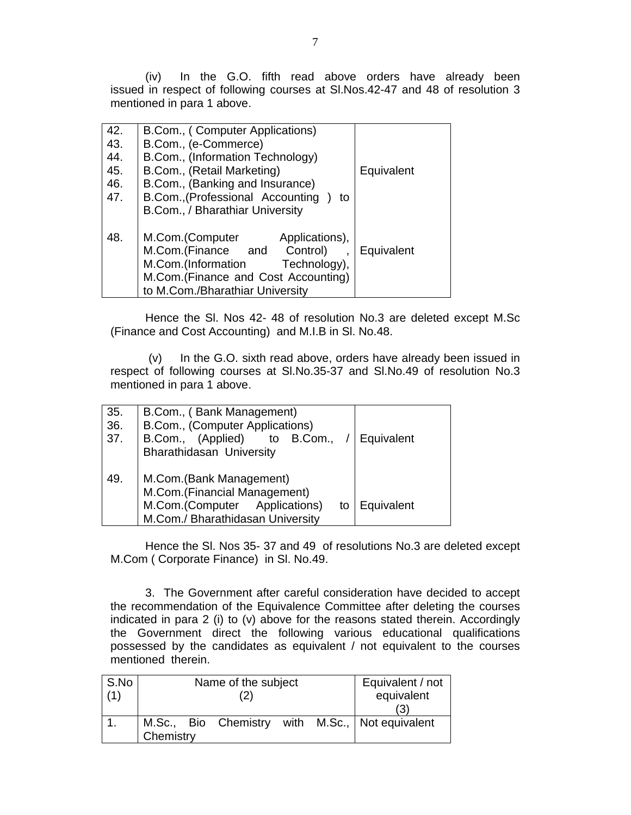(iv) In the G.O. fifth read above orders have already been issued in respect of following courses at Sl.Nos.42-47 and 48 of resolution 3 mentioned in para 1 above.

| 42. | B.Com., (Computer Applications)        |            |
|-----|----------------------------------------|------------|
| 43. | B.Com., (e-Commerce)                   |            |
| 44. | B.Com., (Information Technology)       |            |
| 45. | B.Com., (Retail Marketing)             | Equivalent |
| 46. | B.Com., (Banking and Insurance)        |            |
| 47. | B.Com., (Professional Accounting<br>to |            |
|     | B.Com., / Bharathiar University        |            |
|     |                                        |            |
| 48. | Applications),<br>M.Com.(Computer      |            |
|     | M.Com.(Finance and Control)            | Equivalent |
|     | M.Com.(Information<br>Technology),     |            |
|     | M.Com.(Finance and Cost Accounting)    |            |
|     | to M.Com./Bharathiar University        |            |

Hence the Sl. Nos 42- 48 of resolution No.3 are deleted except M.Sc (Finance and Cost Accounting) and M.I.B in Sl. No.48.

 (v) In the G.O. sixth read above, orders have already been issued in respect of following courses at Sl.No.35-37 and Sl.No.49 of resolution No.3 mentioned in para 1 above.

| 35. | B.Com., (Bank Management)           |            |
|-----|-------------------------------------|------------|
| 36. | B.Com., (Computer Applications)     |            |
| 37. | B.Com., (Applied)<br>to B.Com.,     | Equivalent |
|     | <b>Bharathidasan University</b>     |            |
| 49. | M.Com.(Bank Management)             |            |
|     | M.Com.(Financial Management)        |            |
|     | M.Com.(Computer Applications)<br>to | Equivalent |
|     | M.Com./ Bharathidasan University    |            |

Hence the Sl. Nos 35- 37 and 49 of resolutions No.3 are deleted except M.Com ( Corporate Finance) in Sl. No.49.

3. The Government after careful consideration have decided to accept the recommendation of the Equivalence Committee after deleting the courses indicated in para 2 (i) to (v) above for the reasons stated therein. Accordingly the Government direct the following various educational qualifications possessed by the candidates as equivalent / not equivalent to the courses mentioned therein.

| S.No |           | Name of the subject | Equivalent / not |  |            |                                                 |
|------|-----------|---------------------|------------------|--|------------|-------------------------------------------------|
| (1)  |           |                     |                  |  | equivalent |                                                 |
|      |           |                     |                  |  |            | (3)                                             |
|      |           |                     |                  |  |            | M.Sc., Bio Chemistry with M.Sc., Not equivalent |
|      | Chemistry |                     |                  |  |            |                                                 |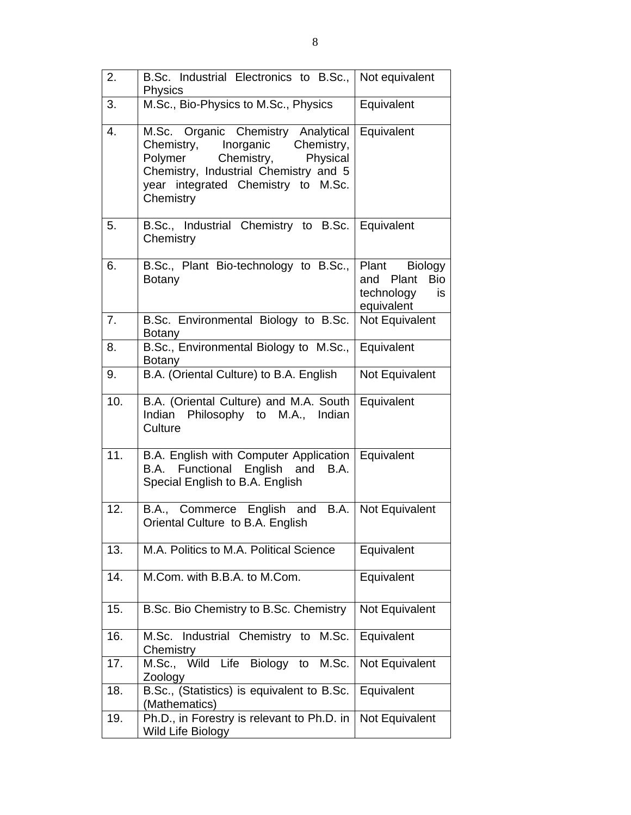| 2.  | B.Sc. Industrial Electronics to B.Sc.,   Not equivalent<br>Physics                                                                                                                                        |                                                                            |
|-----|-----------------------------------------------------------------------------------------------------------------------------------------------------------------------------------------------------------|----------------------------------------------------------------------------|
| 3.  | M.Sc., Bio-Physics to M.Sc., Physics                                                                                                                                                                      | Equivalent                                                                 |
| 4.  | M.Sc. Organic Chemistry Analytical<br>Chemistry, Inorganic<br>Chemistry,<br>Polymer<br>Chemistry,<br>Physical<br>Chemistry, Industrial Chemistry and 5<br>year integrated Chemistry to M.Sc.<br>Chemistry | Equivalent                                                                 |
| 5.  | B.Sc., Industrial Chemistry to B.Sc. Equivalent<br>Chemistry                                                                                                                                              |                                                                            |
| 6.  | B.Sc., Plant Bio-technology to B.Sc.,<br><b>Botany</b>                                                                                                                                                    | Plant Biology<br><b>Bio</b><br>and Plant<br>technology<br>is<br>equivalent |
| 7.  | B.Sc. Environmental Biology to B.Sc.<br>Botany                                                                                                                                                            | Not Equivalent                                                             |
| 8.  | B.Sc., Environmental Biology to M.Sc.,<br><b>Botany</b>                                                                                                                                                   | Equivalent                                                                 |
| 9.  | B.A. (Oriental Culture) to B.A. English                                                                                                                                                                   | Not Equivalent                                                             |
| 10. | B.A. (Oriental Culture) and M.A. South<br>Indian Philosophy to M.A., Indian<br>Culture                                                                                                                    | Equivalent                                                                 |
| 11. | B.A. English with Computer Application<br>B.A. Functional English and B.A.<br>Special English to B.A. English                                                                                             | Equivalent                                                                 |
| 12. | B.A., Commerce English and B.A.   Not Equivalent<br>Oriental Culture to B.A. English                                                                                                                      |                                                                            |
| 13. | M.A. Politics to M.A. Political Science                                                                                                                                                                   | Equivalent                                                                 |
| 14. | M.Com. with B.B.A. to M.Com.                                                                                                                                                                              | Equivalent                                                                 |
| 15. | B.Sc. Bio Chemistry to B.Sc. Chemistry                                                                                                                                                                    | Not Equivalent                                                             |
| 16. | M.Sc. Industrial Chemistry to<br>M.Sc.<br>Chemistry                                                                                                                                                       | Equivalent                                                                 |
| 17. | M.Sc., Wild Life Biology to<br>M.Sc.<br>Zoology                                                                                                                                                           | Not Equivalent                                                             |
| 18. | B.Sc., (Statistics) is equivalent to B.Sc.<br>(Mathematics)                                                                                                                                               | Equivalent                                                                 |
| 19. | Ph.D., in Forestry is relevant to Ph.D. in<br>Wild Life Biology                                                                                                                                           | Not Equivalent                                                             |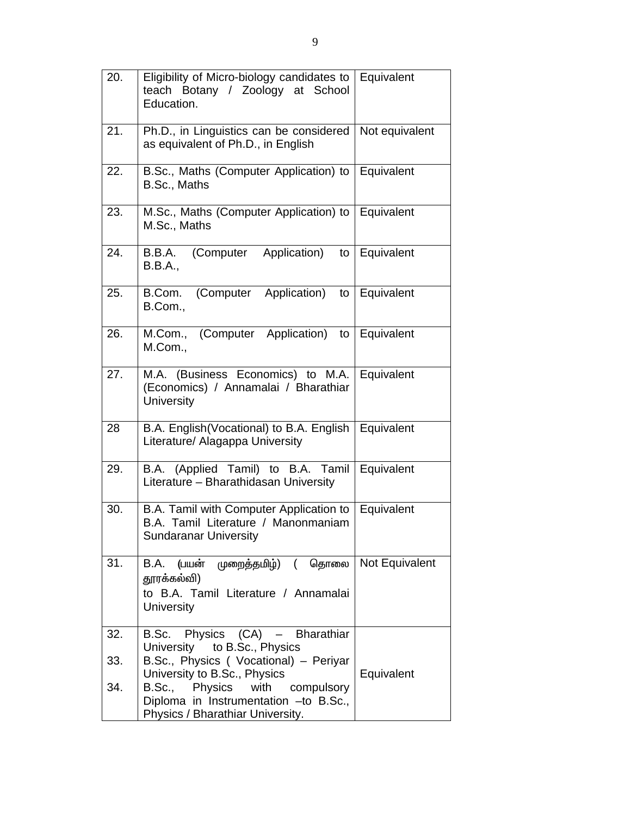| 20. | Eligibility of Micro-biology candidates to<br>teach Botany / Zoology at School<br>Education.                                                   | Equivalent     |
|-----|------------------------------------------------------------------------------------------------------------------------------------------------|----------------|
| 21. | Ph.D., in Linguistics can be considered<br>as equivalent of Ph.D., in English                                                                  | Not equivalent |
| 22. | B.Sc., Maths (Computer Application) to<br>B.Sc., Maths                                                                                         | Equivalent     |
| 23. | M.Sc., Maths (Computer Application) to<br>M.Sc., Maths                                                                                         | Equivalent     |
| 24. | Application)<br>(Computer<br>B.B.A.<br>to<br>B.B.A.,                                                                                           | Equivalent     |
| 25. | (Computer Application)<br>B.Com.<br>to<br>B.Com.,                                                                                              | Equivalent     |
| 26. | (Computer Application)<br>M.Com.,<br>to<br>M.Com.,                                                                                             | Equivalent     |
| 27. | M.A. (Business Economics) to M.A.<br>(Economics) / Annamalai / Bharathiar<br>University                                                        | Equivalent     |
| 28  | B.A. English (Vocational) to B.A. English<br>Literature/ Alagappa University                                                                   | Equivalent     |
| 29. | B.A. (Applied Tamil) to B.A. Tamil<br>Literature - Bharathidasan University                                                                    | Equivalent     |
| 30. | B.A. Tamil with Computer Application to<br>B.A. Tamil Literature / Manonmaniam<br><b>Sundaranar University</b>                                 | Equivalent     |
| 31. | B.A. (பயன் முறைத்தமிழ்) ( தொலை<br>தூரக்கல்வி)<br>to B.A. Tamil Literature / Annamalai<br>University                                            | Not Equivalent |
| 32. | B.Sc. Physics (CA) - Bharathiar                                                                                                                |                |
| 33. | University to B.Sc., Physics<br>B.Sc., Physics (Vocational) - Periyar                                                                          |                |
| 34. | University to B.Sc., Physics<br>Physics with compulsory<br>B.Sc.,<br>Diploma in Instrumentation -to B.Sc.,<br>Physics / Bharathiar University. | Equivalent     |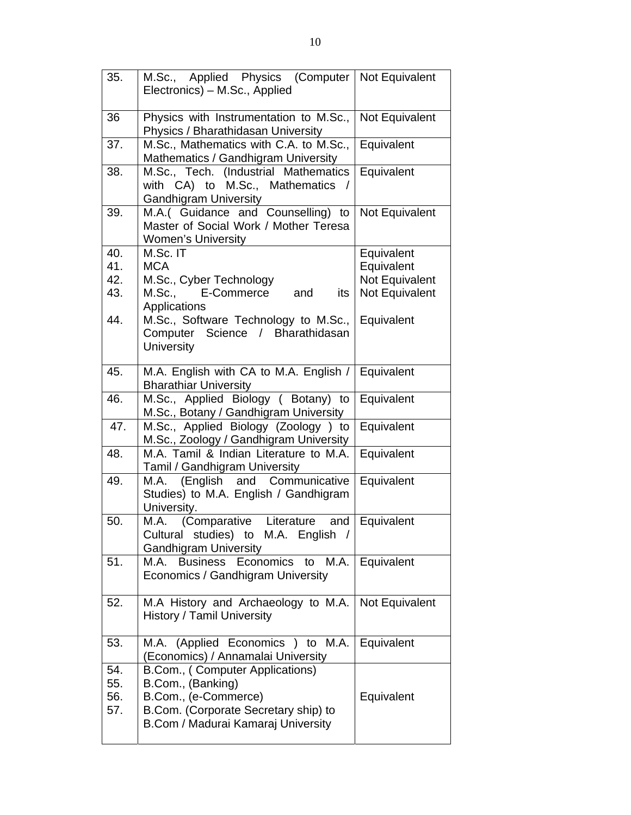| 35. | M.Sc., Applied Physics (Computer<br>Electronics) – M.Sc., Applied                                             | Not Equivalent |
|-----|---------------------------------------------------------------------------------------------------------------|----------------|
| 36  | Physics with Instrumentation to M.Sc.,<br>Physics / Bharathidasan University                                  | Not Equivalent |
| 37. | M.Sc., Mathematics with C.A. to M.Sc.,<br>Mathematics / Gandhigram University                                 | Equivalent     |
| 38. | M.Sc., Tech. (Industrial Mathematics<br>with CA) to M.Sc., Mathematics<br><b>Gandhigram University</b>        | Equivalent     |
| 39. | M.A.( Guidance and Counselling) to<br>Master of Social Work / Mother Teresa<br>Women's University             | Not Equivalent |
| 40. | M.Sc. IT                                                                                                      | Equivalent     |
| 41. | <b>MCA</b>                                                                                                    | Equivalent     |
| 42. | M.Sc., Cyber Technology                                                                                       | Not Equivalent |
| 43. | M.Sc., E-Commerce<br>and<br>its<br>Applications                                                               | Not Equivalent |
| 44. | M.Sc., Software Technology to M.Sc.,<br>Computer Science / Bharathidasan<br><b>University</b>                 | Equivalent     |
| 45. | M.A. English with CA to M.A. English /                                                                        | Equivalent     |
|     | <b>Bharathiar University</b>                                                                                  |                |
| 46. | M.Sc., Applied Biology ( Botany) to<br>M.Sc., Botany / Gandhigram University                                  | Equivalent     |
| 47. | M.Sc., Applied Biology (Zoology ) to<br>M.Sc., Zoology / Gandhigram University                                | Equivalent     |
| 48. | M.A. Tamil & Indian Literature to M.A.<br>Tamil / Gandhigram University                                       | Equivalent     |
| 49. | M.A. (English and Communicative<br>Studies) to M.A. English / Gandhigram<br>University.                       | Equivalent     |
| 50. | Literature<br>M.A. (Comparative<br>and<br>Cultural studies) to M.A. English /<br><b>Gandhigram University</b> | Equivalent     |
| 51. | M.A.<br><b>Business Economics</b><br>M.A.<br>to<br>Economics / Gandhigram University                          | Equivalent     |
| 52. | M.A History and Archaeology to M.A.<br><b>History / Tamil University</b>                                      | Not Equivalent |
| 53. | M.A. (Applied Economics ) to M.A.<br>(Economics) / Annamalai University                                       | Equivalent     |
| 54. | B.Com., (Computer Applications)                                                                               |                |
| 55. | B.Com., (Banking)                                                                                             |                |
| 56. | B.Com., (e-Commerce)                                                                                          | Equivalent     |
| 57. | B.Com. (Corporate Secretary ship) to<br>B.Com / Madurai Kamaraj University                                    |                |